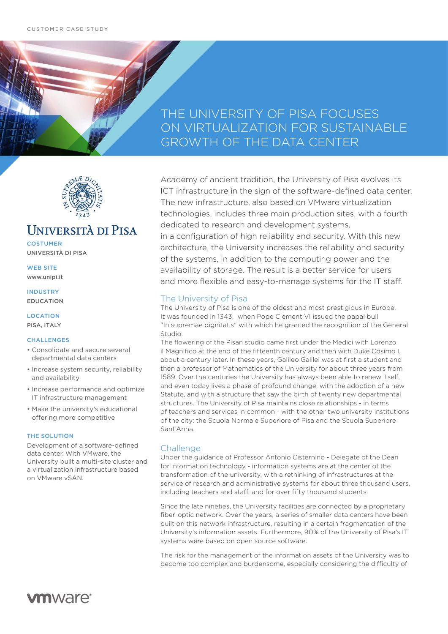## THE UNIVERSITY OF PISA FOCUSES ON VIRTUALIZATION FOR SUSTAINABLE GROWTH OF THE DATA CENTER



## **UNIVERSITÀ DI PISA**

**COSTUMER** UNIVERSITÀ DI PISA

WEB SITE www.unipi.it

INDUSTRY EDUCATION

**LOCATION** PISA, ITALY

#### **CHALLENGES**

- Consolidate and secure several departmental data centers
- Increase system security, reliability and availability
- Increase performance and optimize IT infrastructure management
- Make the university's educational offering more competitive

### THE SOLUTION

Development of a software-defined data center. With VMware, the University built a multi-site cluster and a virtualization infrastructure based on VMware vSAN.

Academy of ancient tradition, the University of Pisa evolves its ICT infrastructure in the sign of the software-defined data center. The new infrastructure, also based on VMware virtualization technologies, includes three main production sites, with a fourth dedicated to research and development systems,

in a configuration of high reliability and security. With this new architecture, the University increases the reliability and security of the systems, in addition to the computing power and the availability of storage. The result is a better service for users and more flexible and easy-to-manage systems for the IT staff.

## The University of Pisa

The University of Pisa is one of the oldest and most prestigious in Europe. It was founded in 1343, when Pope Clement VI issued the papal bull "In supremae dignitatis" with which he granted the recognition of the General Studio.

The flowering of the Pisan studio came first under the Medici with Lorenzo il Magnifico at the end of the fifteenth century and then with Duke Cosimo I, about a century later. In these years, Galileo Galilei was at first a student and then a professor of Mathematics of the University for about three years from 1589. Over the centuries the University has always been able to renew itself, and even today lives a phase of profound change, with the adoption of a new Statute, and with a structure that saw the birth of twenty new departmental structures. The University of Pisa maintains close relationships - in terms of teachers and services in common - with the other two university institutions of the city: the Scuola Normale Superiore of Pisa and the Scuola Superiore Sant'Anna.

## **Challenge**

Under the guidance of Professor Antonio Cisternino - Delegate of the Dean for information technology - information systems are at the center of the transformation of the university, with a rethinking of infrastructures at the service of research and administrative systems for about three thousand users, including teachers and staff, and for over fifty thousand students.

Since the late nineties, the University facilities are connected by a proprietary fiber-optic network. Over the years, a series of smaller data centers have been built on this network infrastructure, resulting in a certain fragmentation of the University's information assets. Furthermore, 90% of the University of Pisa's IT systems were based on open source software.

The risk for the management of the information assets of the University was to become too complex and burdensome, especially considering the difficulty of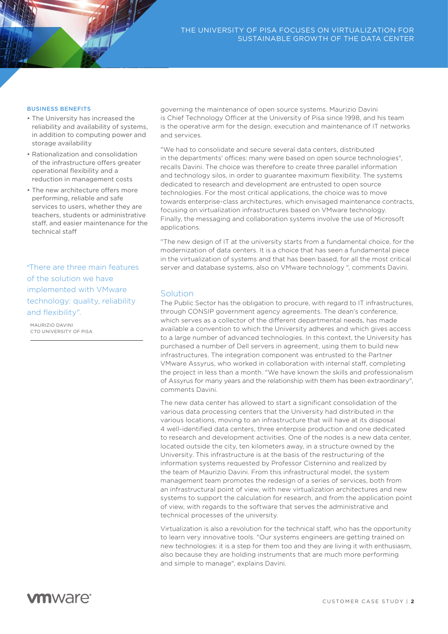#### BUSINESS BENEFITS

- The University has increased the reliability and availability of systems, in addition to computing power and storage availability
- Rationalization and consolidation of the infrastructure offers greater operational flexibility and a reduction in management costs
- The new architecture offers more performing, reliable and safe services to users, whether they are teachers, students or administrative staff, and easier maintenance for the technical staff

"There are three main features of the solution we have implemented with VMware technology: quality, reliability and flexibility".

MAURIZIO DAVINI CTO UNIVERSITY OF PISA

governing the maintenance of open source systems. Maurizio Davini is Chief Technology Officer at the University of Pisa since 1998, and his team is the operative arm for the design, execution and maintenance of IT networks and services.

"We had to consolidate and secure several data centers, distributed in the departments' offices: many were based on open source technologies", recalls Davini. The choice was therefore to create three parallel information and technology silos, in order to guarantee maximum flexibility. The systems dedicated to research and development are entrusted to open source technologies. For the most critical applications, the choice was to move towards enterprise-class architectures, which envisaged maintenance contracts, focusing on virtualization infrastructures based on VMware technology. Finally, the messaging and collaboration systems involve the use of Microsoft applications.

"The new design of IT at the university starts from a fundamental choice, for the modernization of data centers. It is a choice that has seen a fundamental piece in the virtualization of systems and that has been based, for all the most critical server and database systems, also on VMware technology ", comments Davini.

### Solution

The Public Sector has the obligation to procure, with regard to IT infrastructures, through CONSIP government agency agreements. The dean's conference, which serves as a collector of the different departmental needs, has made available a convention to which the University adheres and which gives access to a large number of advanced technologies. In this context, the University has purchased a number of Dell servers in agreement, using them to build new infrastructures. The integration component was entrusted to the Partner VMware Assyrus, who worked in collaboration with internal staff, completing the project in less than a month. "We have known the skills and professionalism of Assyrus for many years and the relationship with them has been extraordinary", comments Davini.

The new data center has allowed to start a significant consolidation of the various data processing centers that the University had distributed in the various locations, moving to an infrastructure that will have at its disposal 4 well-identified data centers, three enterpise production and one dedicated to research and development activities. One of the nodes is a new data center, located outside the city, ten kilometers away, in a structure owned by the University. This infrastructure is at the basis of the restructuring of the information systems requested by Professor Cisternino and realized by the team of Maurizio Davini. From this infrastructural model, the system management team promotes the redesign of a series of services, both from an infrastructural point of view, with new virtualization architectures and new systems to support the calculation for research, and from the application point of view, with regards to the software that serves the administrative and technical processes of the university.

Virtualization is also a revolution for the technical staff, who has the opportunity to learn very innovative tools. "Our systems engineers are getting trained on new technologies: it is a step for them too and they are living it with enthusiasm, also because they are holding instruments that are much more performing and simple to manage", explains Davini.

## **vm**ware<sup>®</sup>